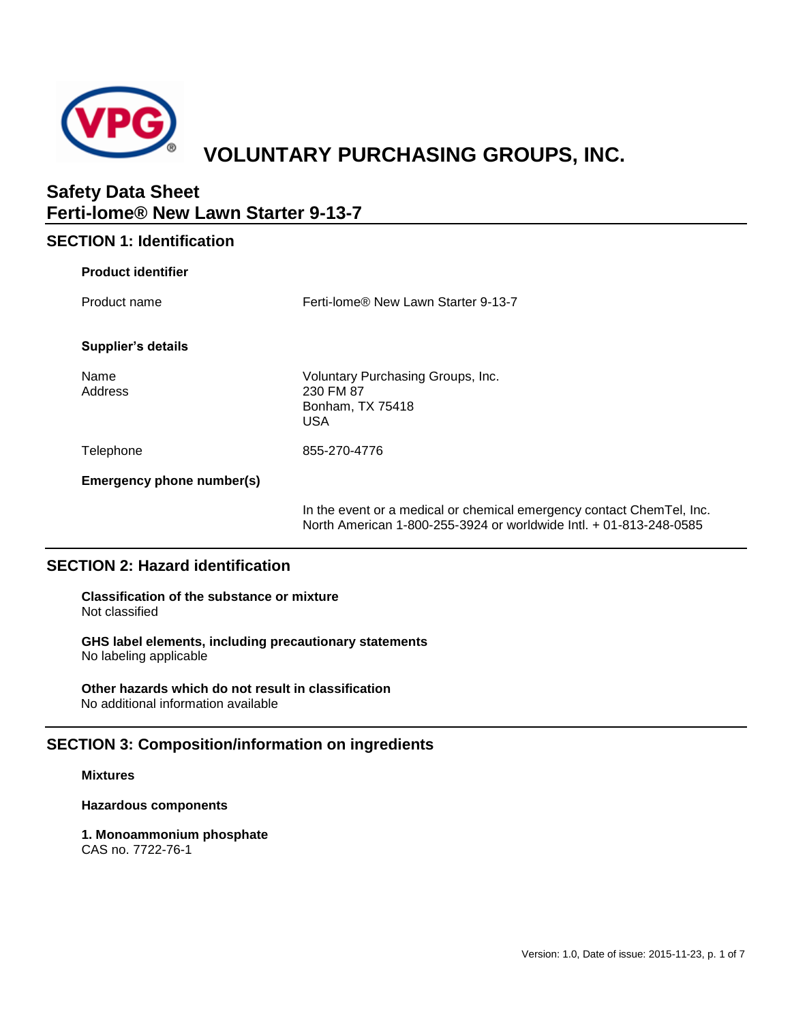

# **VOLUNTARY PURCHASING GROUPS, INC.**

# **Safety Data Sheet Ferti-lome® New Lawn Starter 9-13-7**

# **SECTION 1: Identification**

| <b>Product identifier</b> |                                                                                                                                             |
|---------------------------|---------------------------------------------------------------------------------------------------------------------------------------------|
| Product name              | Ferti-lome® New Lawn Starter 9-13-7                                                                                                         |
| Supplier's details        |                                                                                                                                             |
| Name<br>Address           | Voluntary Purchasing Groups, Inc.<br>230 FM 87<br>Bonham, TX 75418<br>USA                                                                   |
| Telephone                 | 855-270-4776                                                                                                                                |
| Emergency phone number(s) |                                                                                                                                             |
|                           | In the event or a medical or chemical emergency contact ChemTel, Inc.<br>North American 1-800-255-3924 or worldwide Intl. + 01-813-248-0585 |

# **SECTION 2: Hazard identification**

**Classification of the substance or mixture** Not classified

**GHS label elements, including precautionary statements** No labeling applicable

**Other hazards which do not result in classification** No additional information available

# **SECTION 3: Composition/information on ingredients**

#### **Mixtures**

**Hazardous components**

**1. Monoammonium phosphate** CAS no. 7722-76-1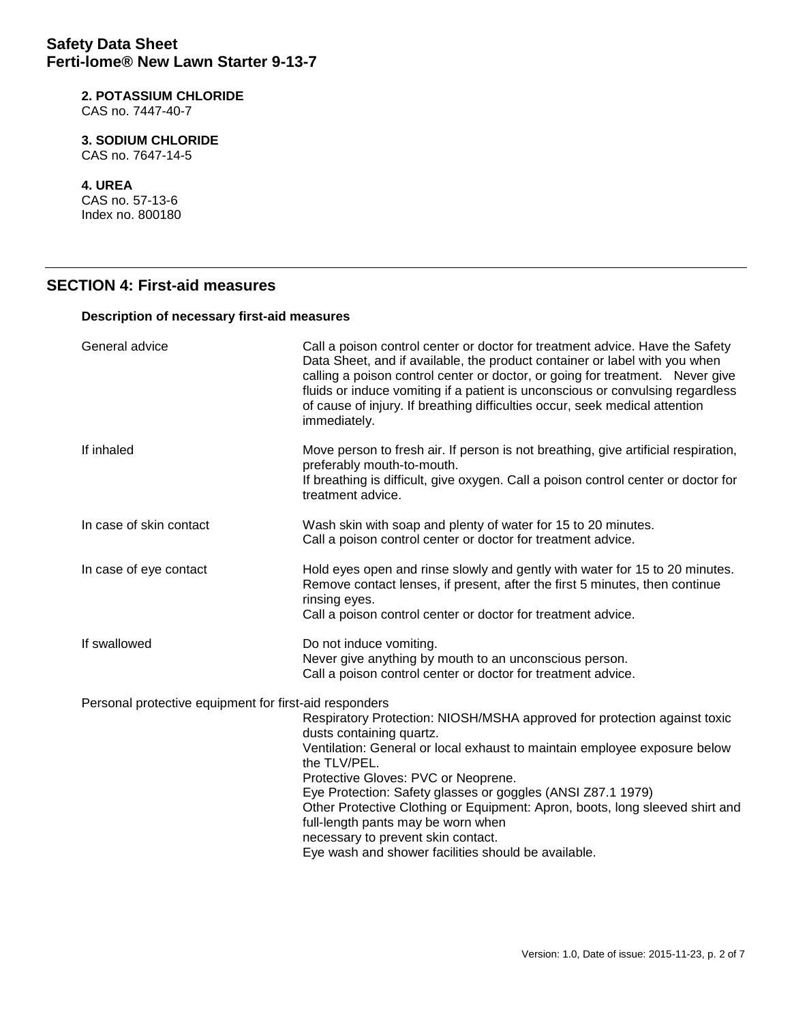# **2. POTASSIUM CHLORIDE**

CAS no. 7447-40-7

# **3. SODIUM CHLORIDE**

CAS no. 7647-14-5

#### **4. UREA**

CAS no. 57-13-6 Index no. 800180

# **SECTION 4: First-aid measures**

### **Description of necessary first-aid measures**

| General advice                                         | Call a poison control center or doctor for treatment advice. Have the Safety<br>Data Sheet, and if available, the product container or label with you when<br>calling a poison control center or doctor, or going for treatment. Never give<br>fluids or induce vomiting if a patient is unconscious or convulsing regardless<br>of cause of injury. If breathing difficulties occur, seek medical attention<br>immediately.                                                                                               |
|--------------------------------------------------------|----------------------------------------------------------------------------------------------------------------------------------------------------------------------------------------------------------------------------------------------------------------------------------------------------------------------------------------------------------------------------------------------------------------------------------------------------------------------------------------------------------------------------|
| If inhaled                                             | Move person to fresh air. If person is not breathing, give artificial respiration,<br>preferably mouth-to-mouth.<br>If breathing is difficult, give oxygen. Call a poison control center or doctor for<br>treatment advice.                                                                                                                                                                                                                                                                                                |
| In case of skin contact                                | Wash skin with soap and plenty of water for 15 to 20 minutes.<br>Call a poison control center or doctor for treatment advice.                                                                                                                                                                                                                                                                                                                                                                                              |
| In case of eye contact                                 | Hold eyes open and rinse slowly and gently with water for 15 to 20 minutes.<br>Remove contact lenses, if present, after the first 5 minutes, then continue<br>rinsing eyes.<br>Call a poison control center or doctor for treatment advice.                                                                                                                                                                                                                                                                                |
| If swallowed                                           | Do not induce vomiting.<br>Never give anything by mouth to an unconscious person.<br>Call a poison control center or doctor for treatment advice.                                                                                                                                                                                                                                                                                                                                                                          |
| Personal protective equipment for first-aid responders | Respiratory Protection: NIOSH/MSHA approved for protection against toxic<br>dusts containing quartz.<br>Ventilation: General or local exhaust to maintain employee exposure below<br>the TLV/PEL.<br>Protective Gloves: PVC or Neoprene.<br>Eye Protection: Safety glasses or goggles (ANSI Z87.1 1979)<br>Other Protective Clothing or Equipment: Apron, boots, long sleeved shirt and<br>full-length pants may be worn when<br>necessary to prevent skin contact.<br>Eye wash and shower facilities should be available. |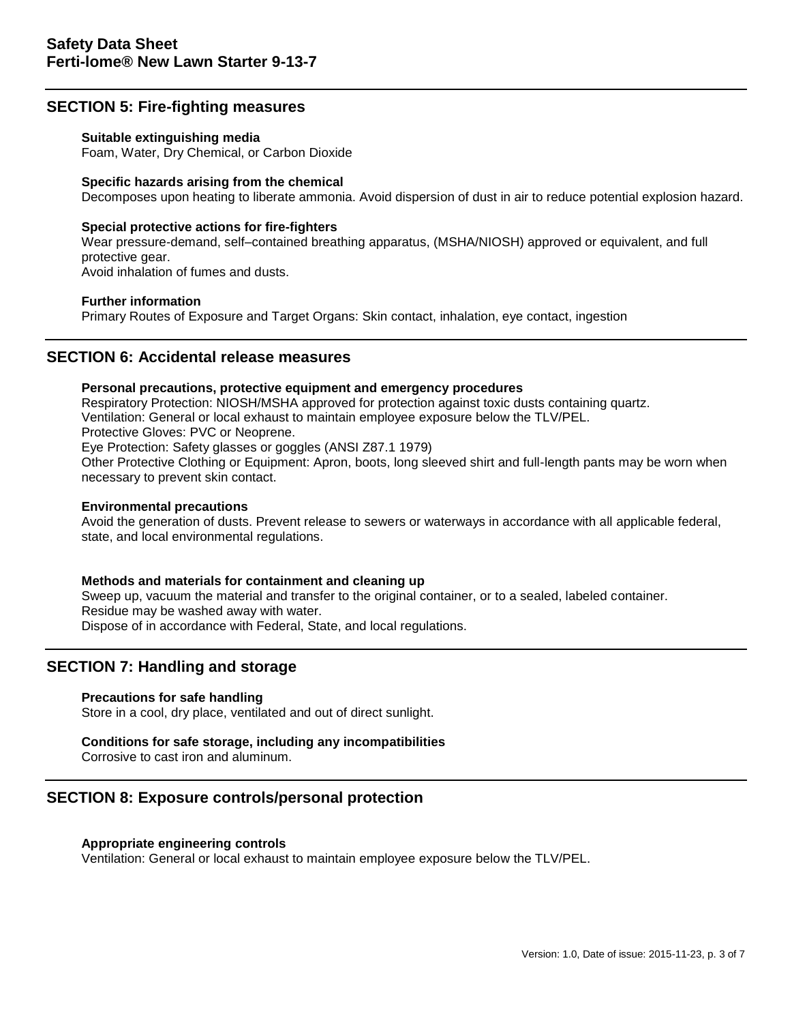# **SECTION 5: Fire-fighting measures**

#### **Suitable extinguishing media**

Foam, Water, Dry Chemical, or Carbon Dioxide

#### **Specific hazards arising from the chemical**

Decomposes upon heating to liberate ammonia. Avoid dispersion of dust in air to reduce potential explosion hazard.

#### **Special protective actions for fire-fighters**

Wear pressure-demand, self–contained breathing apparatus, (MSHA/NIOSH) approved or equivalent, and full protective gear.

Avoid inhalation of fumes and dusts.

#### **Further information**

Primary Routes of Exposure and Target Organs: Skin contact, inhalation, eye contact, ingestion

# **SECTION 6: Accidental release measures**

#### **Personal precautions, protective equipment and emergency procedures**

Respiratory Protection: NIOSH/MSHA approved for protection against toxic dusts containing quartz. Ventilation: General or local exhaust to maintain employee exposure below the TLV/PEL. Protective Gloves: PVC or Neoprene. Eye Protection: Safety glasses or goggles (ANSI Z87.1 1979)

Other Protective Clothing or Equipment: Apron, boots, long sleeved shirt and full-length pants may be worn when necessary to prevent skin contact.

#### **Environmental precautions**

Avoid the generation of dusts. Prevent release to sewers or waterways in accordance with all applicable federal, state, and local environmental regulations.

#### **Methods and materials for containment and cleaning up**

Sweep up, vacuum the material and transfer to the original container, or to a sealed, labeled container. Residue may be washed away with water. Dispose of in accordance with Federal, State, and local regulations.

## **SECTION 7: Handling and storage**

#### **Precautions for safe handling**

Store in a cool, dry place, ventilated and out of direct sunlight.

#### **Conditions for safe storage, including any incompatibilities**

Corrosive to cast iron and aluminum.

# **SECTION 8: Exposure controls/personal protection**

## **Appropriate engineering controls**

Ventilation: General or local exhaust to maintain employee exposure below the TLV/PEL.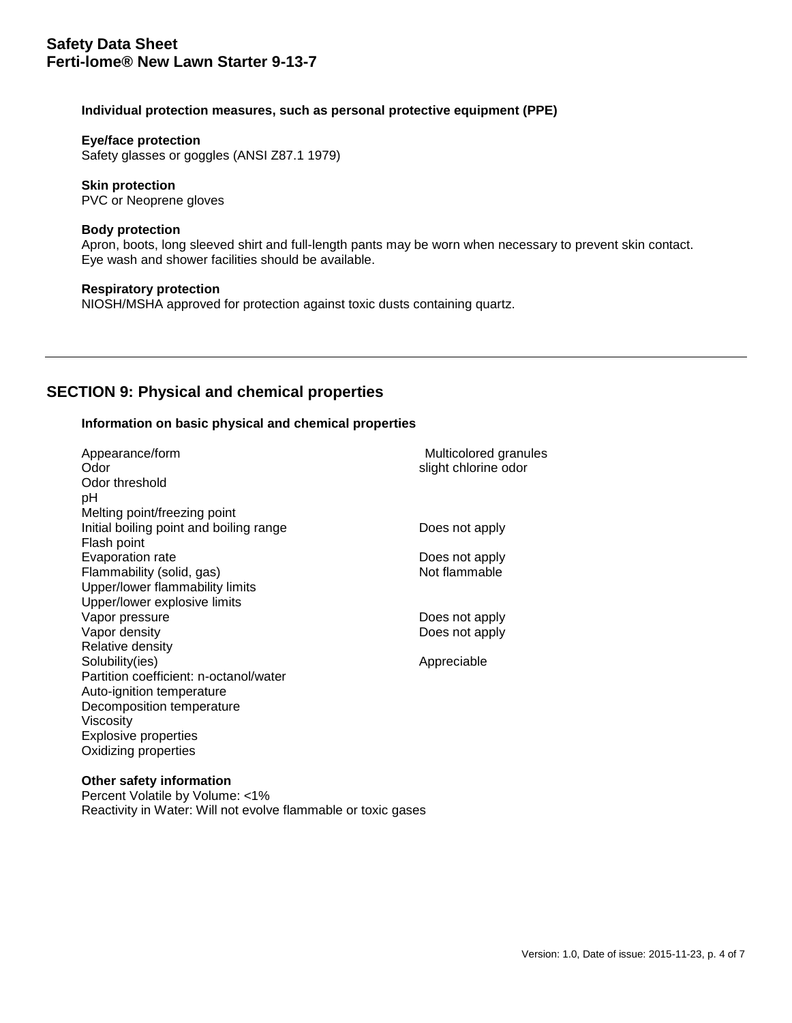#### **Individual protection measures, such as personal protective equipment (PPE)**

#### **Eye/face protection**

Safety glasses or goggles (ANSI Z87.1 1979)

#### **Skin protection** PVC or Neoprene gloves

#### **Body protection**

Apron, boots, long sleeved shirt and full-length pants may be worn when necessary to prevent skin contact. Eye wash and shower facilities should be available.

### **Respiratory protection** NIOSH/MSHA approved for protection against toxic dusts containing quartz.

# **SECTION 9: Physical and chemical properties**

#### **Information on basic physical and chemical properties**

| Appearance/form<br>Odor                 | Multicolored granules<br>slight chlorine odor |
|-----------------------------------------|-----------------------------------------------|
| Odor threshold                          |                                               |
| рH                                      |                                               |
|                                         |                                               |
| Melting point/freezing point            |                                               |
| Initial boiling point and boiling range | Does not apply                                |
| Flash point                             |                                               |
| Evaporation rate                        | Does not apply                                |
| Flammability (solid, gas)               | Not flammable                                 |
| Upper/lower flammability limits         |                                               |
| Upper/lower explosive limits            |                                               |
| Vapor pressure                          | Does not apply                                |
| Vapor density                           | Does not apply                                |
| Relative density                        |                                               |
| Solubility(ies)                         | Appreciable                                   |
| Partition coefficient: n-octanol/water  |                                               |
| Auto-ignition temperature               |                                               |
| Decomposition temperature               |                                               |
| Viscosity                               |                                               |
| <b>Explosive properties</b>             |                                               |
| Oxidizing properties                    |                                               |

#### **Other safety information**

Percent Volatile by Volume: <1% Reactivity in Water: Will not evolve flammable or toxic gases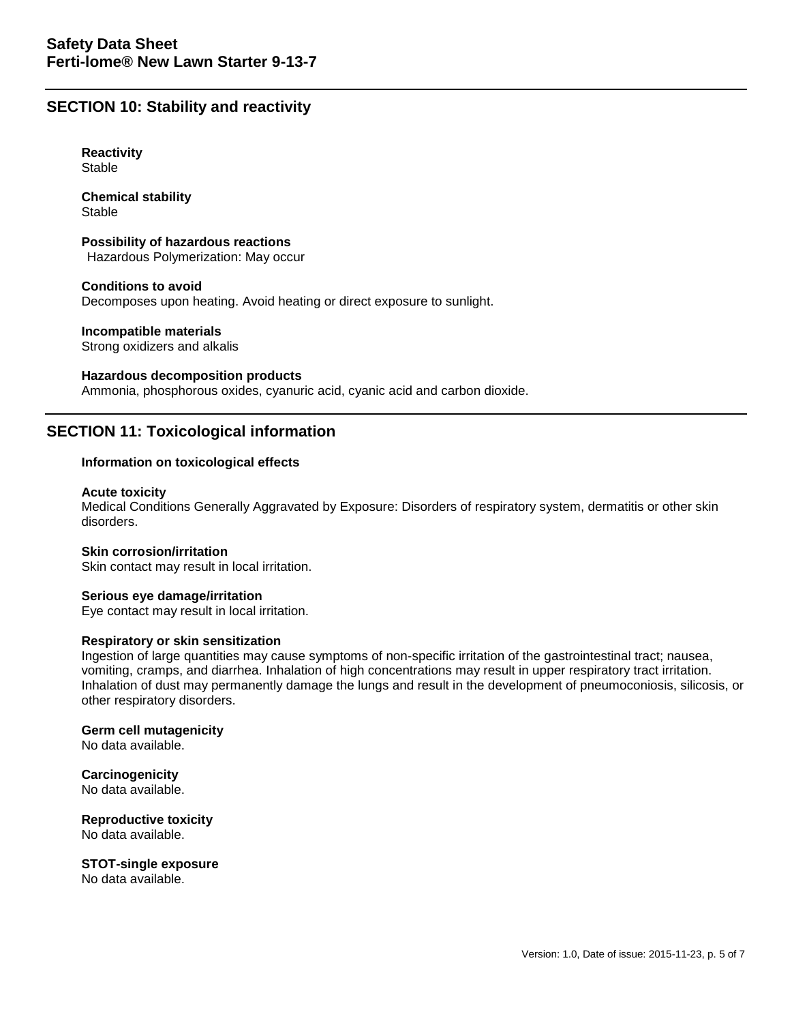# **SECTION 10: Stability and reactivity**

**Reactivity Stable** 

**Chemical stability** Stable

**Possibility of hazardous reactions** Hazardous Polymerization: May occur

**Conditions to avoid** Decomposes upon heating. Avoid heating or direct exposure to sunlight.

**Incompatible materials** Strong oxidizers and alkalis

**Hazardous decomposition products**

Ammonia, phosphorous oxides, cyanuric acid, cyanic acid and carbon dioxide.

# **SECTION 11: Toxicological information**

### **Information on toxicological effects**

#### **Acute toxicity**

Medical Conditions Generally Aggravated by Exposure: Disorders of respiratory system, dermatitis or other skin disorders.

#### **Skin corrosion/irritation**

Skin contact may result in local irritation.

**Serious eye damage/irritation** Eye contact may result in local irritation.

#### **Respiratory or skin sensitization**

Ingestion of large quantities may cause symptoms of non-specific irritation of the gastrointestinal tract; nausea, vomiting, cramps, and diarrhea. Inhalation of high concentrations may result in upper respiratory tract irritation. Inhalation of dust may permanently damage the lungs and result in the development of pneumoconiosis, silicosis, or other respiratory disorders.

**Germ cell mutagenicity** No data available.

**Carcinogenicity** No data available.

**Reproductive toxicity** No data available.

**STOT-single exposure**

No data available.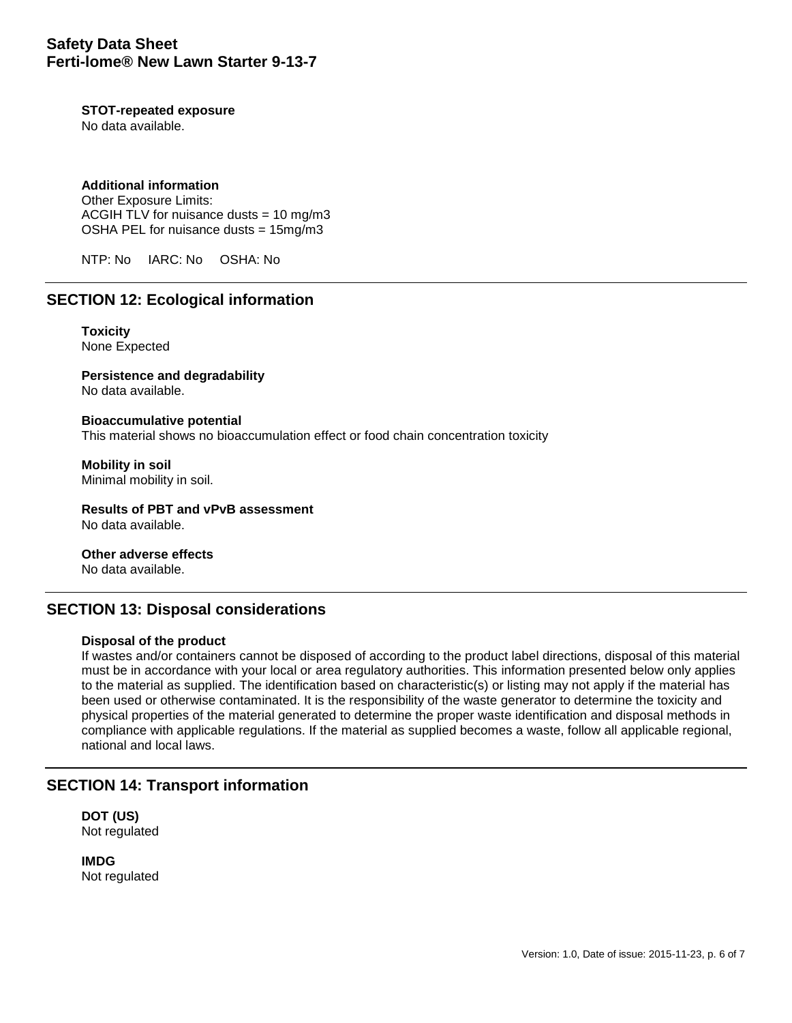#### **STOT-repeated exposure**

No data available.

## **Additional information**

Other Exposure Limits: ACGIH TLV for nuisance dusts =  $10 \text{ ma/m}$ 3 OSHA PEL for nuisance dusts = 15mg/m3

NTP: No IARC: No OSHA: No

# **SECTION 12: Ecological information**

**Toxicity** None Expected

**Persistence and degradability**

No data available.

**Bioaccumulative potential** This material shows no bioaccumulation effect or food chain concentration toxicity

**Mobility in soil** Minimal mobility in soil.

**Results of PBT and vPvB assessment** No data available.

**Other adverse effects** No data available.

# **SECTION 13: Disposal considerations**

#### **Disposal of the product**

If wastes and/or containers cannot be disposed of according to the product label directions, disposal of this material must be in accordance with your local or area regulatory authorities. This information presented below only applies to the material as supplied. The identification based on characteristic(s) or listing may not apply if the material has been used or otherwise contaminated. It is the responsibility of the waste generator to determine the toxicity and physical properties of the material generated to determine the proper waste identification and disposal methods in compliance with applicable regulations. If the material as supplied becomes a waste, follow all applicable regional, national and local laws.

## **SECTION 14: Transport information**

**DOT (US)** Not regulated

**IMDG** Not regulated